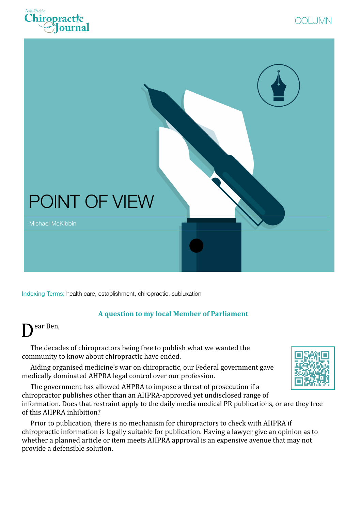





Indexing Terms: health care, establishment, chiropractic, subluxation

## **A question to my local Member of Parliament**

ear Ben,

The decades of chiropractors being free to publish what we wanted the community to know about chiropractic have ended.

Aiding organised medicine's war on chiropractic, our Federal government gave medically dominated AHPRA legal control over our profession.

The government has allowed AHPRA to impose a threat of prosecution if a chiropractor publishes other than an AHPRA-approved yet undisclosed range of information. Does that restraint apply to the daily media medical PR publications, or are they free of this AHPRA inhibition?

Prior to publication, there is no mechanism for chiropractors to check with AHPRA if chiropractic information is legally suitable for publication. Having a lawyer give an opinion as to whether a planned article or item meets AHPRA approval is an expensive avenue that may not provide a defensible solution.